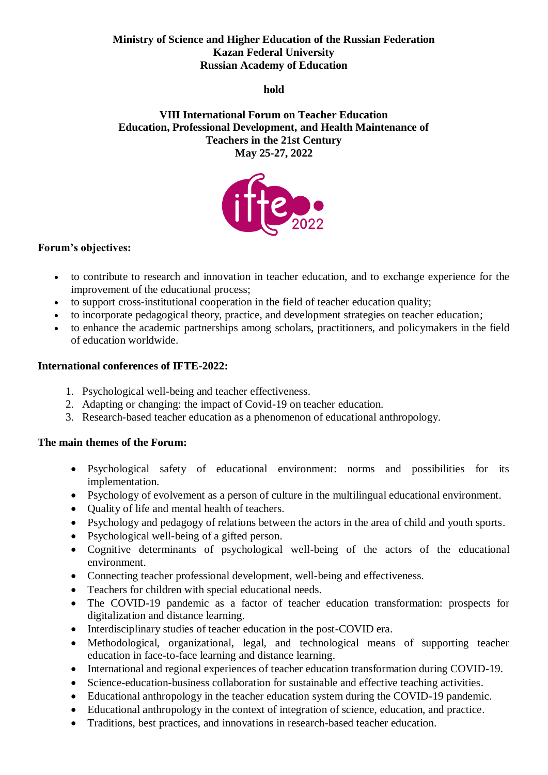### **Ministry of Science and Higher Education of the Russian Federation Kazan Federal University Russian Academy of Education**

**hold**

**VIII International Forum on Teacher Education Education, Professional Development, and Health Maintenance of Teachers in the 21st Century May 25-27, 2022**



# **Forum's objectives:**

- to contribute to research and innovation in teacher education, and to exchange experience for the improvement of the educational process;
- to support cross-institutional cooperation in the field of teacher education quality;
- to incorporate pedagogical theory, practice, and development strategies on teacher education;
- to enhance the academic partnerships among scholars, practitioners, and policymakers in the field of education worldwide.

### **International conferences of IFTE-2022:**

- 1. Psychological well-being and teacher effectiveness.
- 2. Adapting or changing: the impact of Covid-19 on teacher education.
- 3. Research-based teacher education as a phenomenon of educational anthropology.

#### **The main themes of the Forum:**

- Psychological safety of educational environment: norms and possibilities for its implementation.
- Psychology of evolvement as a person of culture in the multilingual educational environment.
- Ouality of life and mental health of teachers.
- Psychology and pedagogy of relations between the actors in the area of child and youth sports.
- Psychological well-being of a gifted person.
- Cognitive determinants of psychological well-being of the actors of the educational environment.
- Connecting teacher professional development, well-being and effectiveness.
- Teachers for children with special educational needs.
- The COVID-19 pandemic as a factor of teacher education transformation: prospects for digitalization and distance learning.
- Interdisciplinary studies of teacher education in the post-COVID era.
- Methodological, organizational, legal, and technological means of supporting teacher education in face-to-face learning and distance learning.
- International and regional experiences of teacher education transformation during COVID-19.
- Science-education-business collaboration for sustainable and effective teaching activities.
- Educational anthropology in the teacher education system during the COVID-19 pandemic.
- Educational anthropology in the context of integration of science, education, and practice.
- Traditions, best practices, and innovations in research-based teacher education.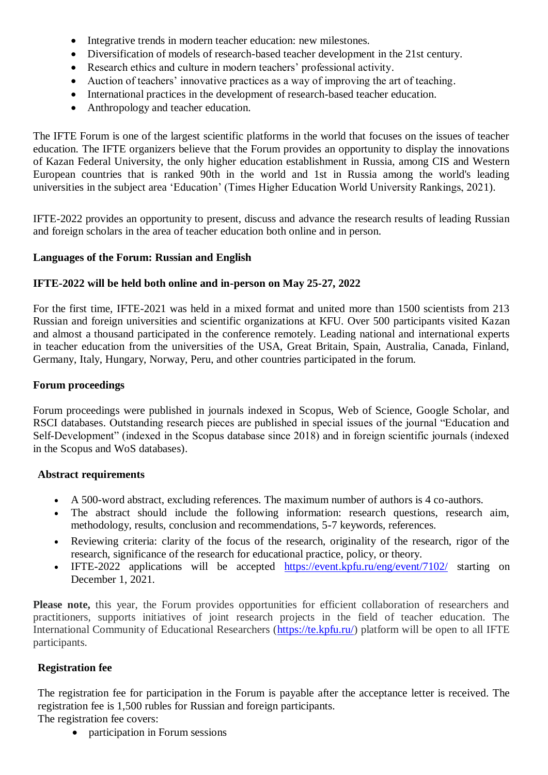- Integrative trends in modern teacher education: new milestones.
- Diversification of models of research-based teacher development in the 21st century.
- Research ethics and culture in modern teachers' professional activity.
- Auction of teachers' innovative practices as a way of improving the art of teaching.
- International practices in the development of research-based teacher education.
- Anthropology and teacher education.

The IFTE Forum is one of the largest scientific platforms in the world that focuses on the issues of teacher education. The IFTE organizers believe that the Forum provides an opportunity to display the innovations of Kazan Federal University, the only higher education establishment in Russia, among CIS and Western European countries that is ranked 90th in the world and 1st in Russia among the world's leading universities in the subject area 'Education' (Times Higher Education World University Rankings, 2021).

IFTE-2022 provides an opportunity to present, discuss and advance the research results of leading Russian and foreign scholars in the area of teacher education both online and in person.

### **Languages of the Forum: Russian and English**

### **IFTE-2022 will be held both online and in-person on May 25-27, 2022**

For the first time, IFTE-2021 was held in a mixed format and united more than 1500 scientists from 213 Russian and foreign universities and scientific organizations at KFU. Over 500 participants visited Kazan and almost a thousand participated in the conference remotely. Leading national and international experts in teacher education from the universities of the USA, Great Britain, Spain, Australia, Canada, Finland, Germany, Italy, Hungary, Norway, Peru, and other countries participated in the forum.

## **Forum proceedings**

Forum proceedings were published in journals indexed in Scopus, Web of Science, Google Scholar, and RSCI databases. Outstanding research pieces are published in special issues of the journal "Education and Self-Development" (indexed in the Scopus database since 2018) and in foreign scientific journals (indexed in the Scopus and WoS databases).

### **Abstract requirements**

- A 500-word abstract, excluding references. The maximum number of authors is 4 co-authors.
- The abstract should include the following information: research questions, research aim, methodology, results, conclusion and recommendations, 5-7 keywords, references.
- Reviewing criteria: clarity of the focus of the research, originality of the research, rigor of the research, significance of the research for educational practice, policy, or theory.
- IFTE-2022 applications will be accepted <https://event.kpfu.ru/eng/event/7102/> starting on December 1, 2021.

Please note, this year, the Forum provides opportunities for efficient collaboration of researchers and practitioners, supports initiatives of joint research projects in the field of teacher education. The International Community of Educational Researchers ( $\frac{https://te.kpfu.ru/}{https://te.kpfu.ru/})$  platform will be open to all IFTE participants.

### **Registration fee**

The registration fee for participation in the Forum is payable after the acceptance letter is received. The registration fee is 1,500 rubles for Russian and foreign participants.

The registration fee covers:

• participation in Forum sessions